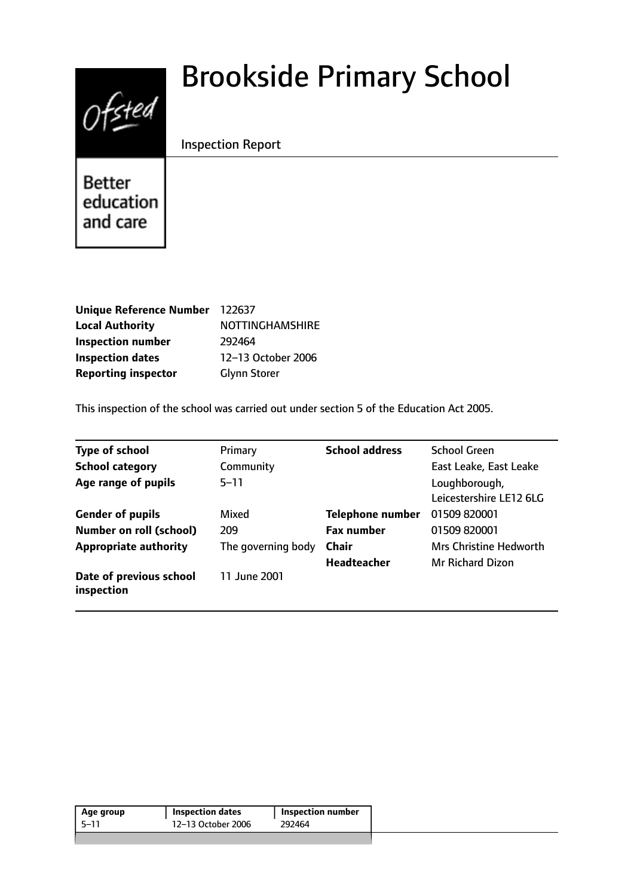

# Brookside Primary School

# Inspection Report

Better education and care

| Unique Reference Number 122637 |                        |
|--------------------------------|------------------------|
| <b>Local Authority</b>         | <b>NOTTINGHAMSHIRE</b> |
| <b>Inspection number</b>       | 292464                 |
| <b>Inspection dates</b>        | 12-13 October 2006     |
| <b>Reporting inspector</b>     | <b>Glynn Storer</b>    |

This inspection of the school was carried out under section 5 of the Education Act 2005.

| <b>Type of school</b>                 | Primary            | <b>School address</b>   | <b>School Green</b>                      |
|---------------------------------------|--------------------|-------------------------|------------------------------------------|
| <b>School category</b>                | Community          |                         | East Leake, East Leake                   |
| Age range of pupils                   | $5 - 11$           |                         | Loughborough,<br>Leicestershire LE12 6LG |
| <b>Gender of pupils</b>               | Mixed              | <b>Telephone number</b> | 01509 820001                             |
| <b>Number on roll (school)</b>        | 209                | <b>Fax number</b>       | 01509 820001                             |
| <b>Appropriate authority</b>          | The governing body | <b>Chair</b>            | <b>Mrs Christine Hedworth</b>            |
|                                       |                    | <b>Headteacher</b>      | <b>Mr Richard Dizon</b>                  |
| Date of previous school<br>inspection | 11 June 2001       |                         |                                          |

| 12-13 October 2006<br>5-11<br>292464 | Age group | <b>Inspection dates</b> | Inspection number |  |
|--------------------------------------|-----------|-------------------------|-------------------|--|
|                                      |           |                         |                   |  |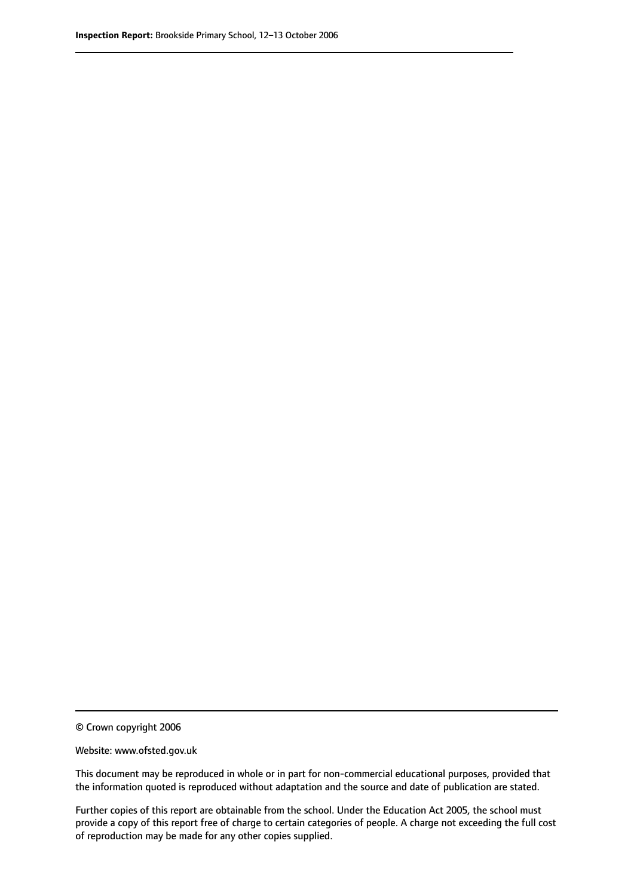© Crown copyright 2006

Website: www.ofsted.gov.uk

This document may be reproduced in whole or in part for non-commercial educational purposes, provided that the information quoted is reproduced without adaptation and the source and date of publication are stated.

Further copies of this report are obtainable from the school. Under the Education Act 2005, the school must provide a copy of this report free of charge to certain categories of people. A charge not exceeding the full cost of reproduction may be made for any other copies supplied.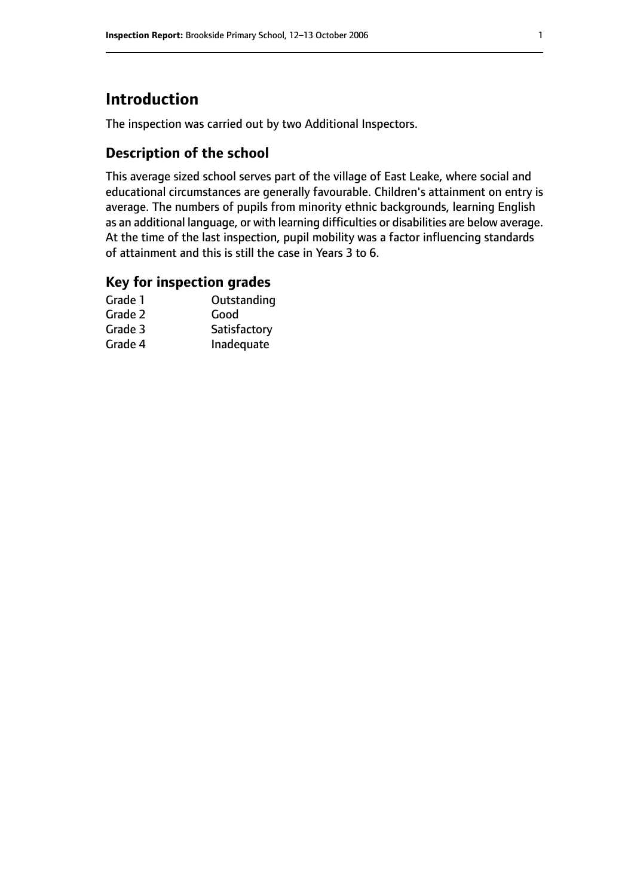# **Introduction**

The inspection was carried out by two Additional Inspectors.

## **Description of the school**

This average sized school serves part of the village of East Leake, where social and educational circumstances are generally favourable. Children's attainment on entry is average. The numbers of pupils from minority ethnic backgrounds, learning English as an additional language, or with learning difficulties or disabilities are below average. At the time of the last inspection, pupil mobility was a factor influencing standards of attainment and this is still the case in Years 3 to 6.

### **Key for inspection grades**

| Grade 1 | Outstanding  |
|---------|--------------|
| Grade 2 | Good         |
| Grade 3 | Satisfactory |
| Grade 4 | Inadequate   |
|         |              |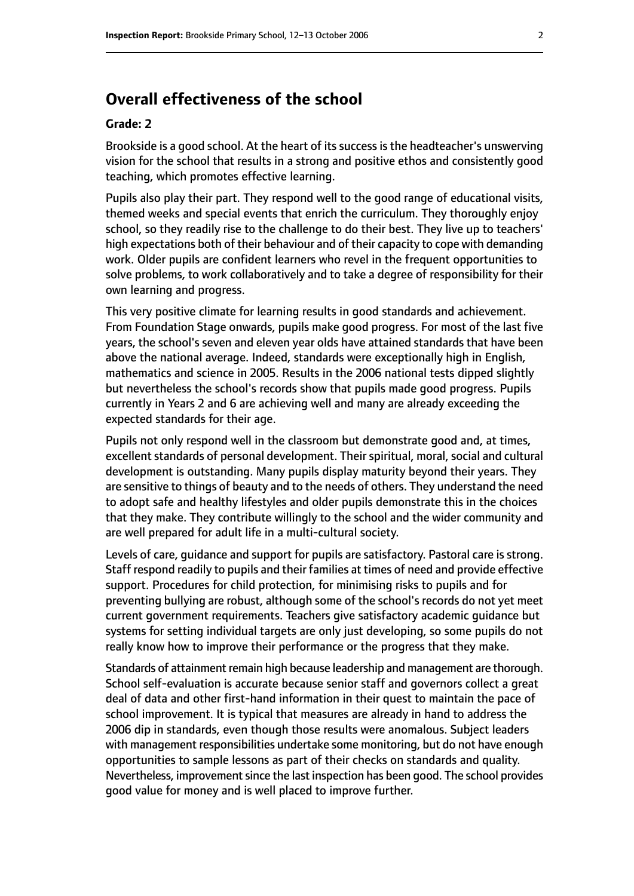# **Overall effectiveness of the school**

#### **Grade: 2**

Brookside is a good school. At the heart of its success is the headteacher's unswerving vision for the school that results in a strong and positive ethos and consistently good teaching, which promotes effective learning.

Pupils also play their part. They respond well to the good range of educational visits, themed weeks and special events that enrich the curriculum. They thoroughly enjoy school, so they readily rise to the challenge to do their best. They live up to teachers' high expectations both of their behaviour and of their capacity to cope with demanding work. Older pupils are confident learners who revel in the frequent opportunities to solve problems, to work collaboratively and to take a degree of responsibility for their own learning and progress.

This very positive climate for learning results in good standards and achievement. From Foundation Stage onwards, pupils make good progress. For most of the last five years, the school's seven and eleven year olds have attained standards that have been above the national average. Indeed, standards were exceptionally high in English, mathematics and science in 2005. Results in the 2006 national tests dipped slightly but nevertheless the school's records show that pupils made good progress. Pupils currently in Years 2 and 6 are achieving well and many are already exceeding the expected standards for their age.

Pupils not only respond well in the classroom but demonstrate good and, at times, excellent standards of personal development. Their spiritual, moral, social and cultural development is outstanding. Many pupils display maturity beyond their years. They are sensitive to things of beauty and to the needs of others. They understand the need to adopt safe and healthy lifestyles and older pupils demonstrate this in the choices that they make. They contribute willingly to the school and the wider community and are well prepared for adult life in a multi-cultural society.

Levels of care, guidance and support for pupils are satisfactory. Pastoral care is strong. Staff respond readily to pupils and their families at times of need and provide effective support. Procedures for child protection, for minimising risks to pupils and for preventing bullying are robust, although some of the school's records do not yet meet current government requirements. Teachers give satisfactory academic guidance but systems for setting individual targets are only just developing, so some pupils do not really know how to improve their performance or the progress that they make.

Standards of attainment remain high because leadership and management are thorough. School self-evaluation is accurate because senior staff and governors collect a great deal of data and other first-hand information in their quest to maintain the pace of school improvement. It is typical that measures are already in hand to address the 2006 dip in standards, even though those results were anomalous. Subject leaders with management responsibilities undertake some monitoring, but do not have enough opportunities to sample lessons as part of their checks on standards and quality. Nevertheless, improvement since the last inspection has been good. The school provides good value for money and is well placed to improve further.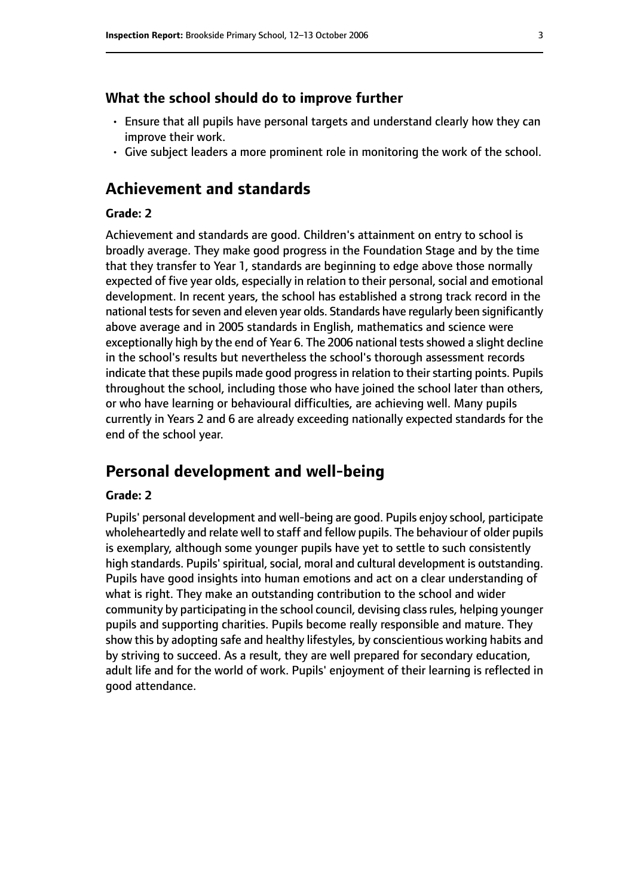#### **What the school should do to improve further**

- Ensure that all pupils have personal targets and understand clearly how they can improve their work.
- Give subject leaders a more prominent role in monitoring the work of the school.

## **Achievement and standards**

#### **Grade: 2**

Achievement and standards are good. Children's attainment on entry to school is broadly average. They make good progress in the Foundation Stage and by the time that they transfer to Year 1, standards are beginning to edge above those normally expected of five year olds, especially in relation to their personal, social and emotional development. In recent years, the school has established a strong track record in the national tests for seven and eleven year olds. Standards have regularly been significantly above average and in 2005 standards in English, mathematics and science were exceptionally high by the end of Year 6. The 2006 national tests showed a slight decline in the school's results but nevertheless the school's thorough assessment records indicate that these pupils made good progress in relation to their starting points. Pupils throughout the school, including those who have joined the school later than others, or who have learning or behavioural difficulties, are achieving well. Many pupils currently in Years 2 and 6 are already exceeding nationally expected standards for the end of the school year.

## **Personal development and well-being**

#### **Grade: 2**

Pupils' personal development and well-being are good. Pupils enjoy school, participate wholeheartedly and relate well to staff and fellow pupils. The behaviour of older pupils is exemplary, although some younger pupils have yet to settle to such consistently high standards. Pupils' spiritual, social, moral and cultural development is outstanding. Pupils have good insights into human emotions and act on a clear understanding of what is right. They make an outstanding contribution to the school and wider community by participating in the school council, devising classrules, helping younger pupils and supporting charities. Pupils become really responsible and mature. They show this by adopting safe and healthy lifestyles, by conscientious working habits and by striving to succeed. As a result, they are well prepared for secondary education, adult life and for the world of work. Pupils' enjoyment of their learning is reflected in good attendance.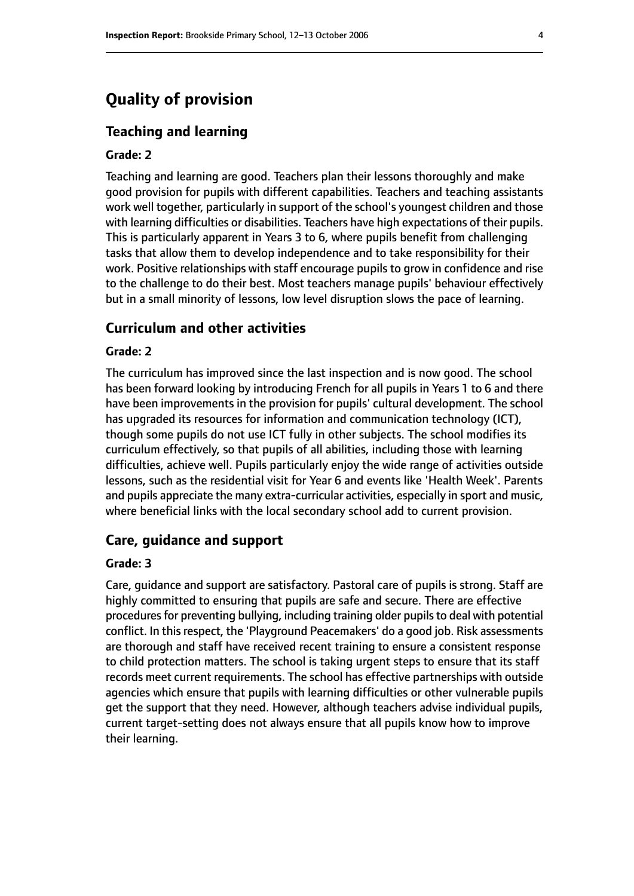# **Quality of provision**

#### **Teaching and learning**

#### **Grade: 2**

Teaching and learning are good. Teachers plan their lessons thoroughly and make good provision for pupils with different capabilities. Teachers and teaching assistants work well together, particularly in support of the school's youngest children and those with learning difficulties or disabilities. Teachers have high expectations of their pupils. This is particularly apparent in Years 3 to 6, where pupils benefit from challenging tasks that allow them to develop independence and to take responsibility for their work. Positive relationships with staff encourage pupils to grow in confidence and rise to the challenge to do their best. Most teachers manage pupils' behaviour effectively but in a small minority of lessons, low level disruption slows the pace of learning.

#### **Curriculum and other activities**

#### **Grade: 2**

The curriculum has improved since the last inspection and is now good. The school has been forward looking by introducing French for all pupils in Years 1 to 6 and there have been improvements in the provision for pupils' cultural development. The school has upgraded its resources for information and communication technology (ICT), though some pupils do not use ICT fully in other subjects. The school modifies its curriculum effectively, so that pupils of all abilities, including those with learning difficulties, achieve well. Pupils particularly enjoy the wide range of activities outside lessons, such as the residential visit for Year 6 and events like 'Health Week'. Parents and pupils appreciate the many extra-curricular activities, especially in sport and music, where beneficial links with the local secondary school add to current provision.

#### **Care, guidance and support**

#### **Grade: 3**

Care, guidance and support are satisfactory. Pastoral care of pupils is strong. Staff are highly committed to ensuring that pupils are safe and secure. There are effective procedures for preventing bullying, including training older pupils to deal with potential conflict. In this respect, the 'Playground Peacemakers' do a good job. Risk assessments are thorough and staff have received recent training to ensure a consistent response to child protection matters. The school is taking urgent steps to ensure that its staff records meet current requirements. The school has effective partnerships with outside agencies which ensure that pupils with learning difficulties or other vulnerable pupils get the support that they need. However, although teachers advise individual pupils, current target-setting does not always ensure that all pupils know how to improve their learning.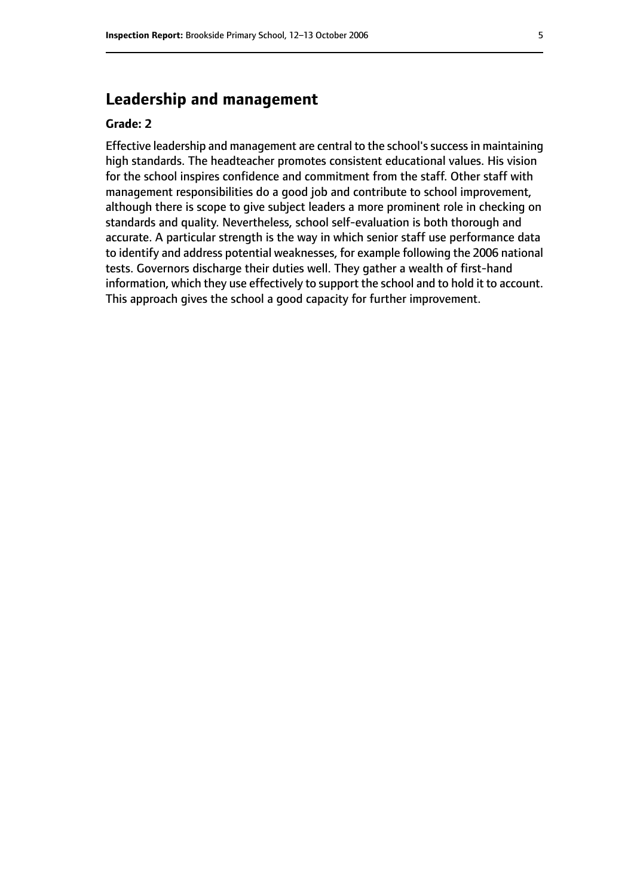# **Leadership and management**

#### **Grade: 2**

Effective leadership and management are central to the school's success in maintaining high standards. The headteacher promotes consistent educational values. His vision for the school inspires confidence and commitment from the staff. Other staff with management responsibilities do a good job and contribute to school improvement, although there is scope to give subject leaders a more prominent role in checking on standards and quality. Nevertheless, school self-evaluation is both thorough and accurate. A particular strength is the way in which senior staff use performance data to identify and address potential weaknesses, for example following the 2006 national tests. Governors discharge their duties well. They gather a wealth of first-hand information, which they use effectively to support the school and to hold it to account. This approach gives the school a good capacity for further improvement.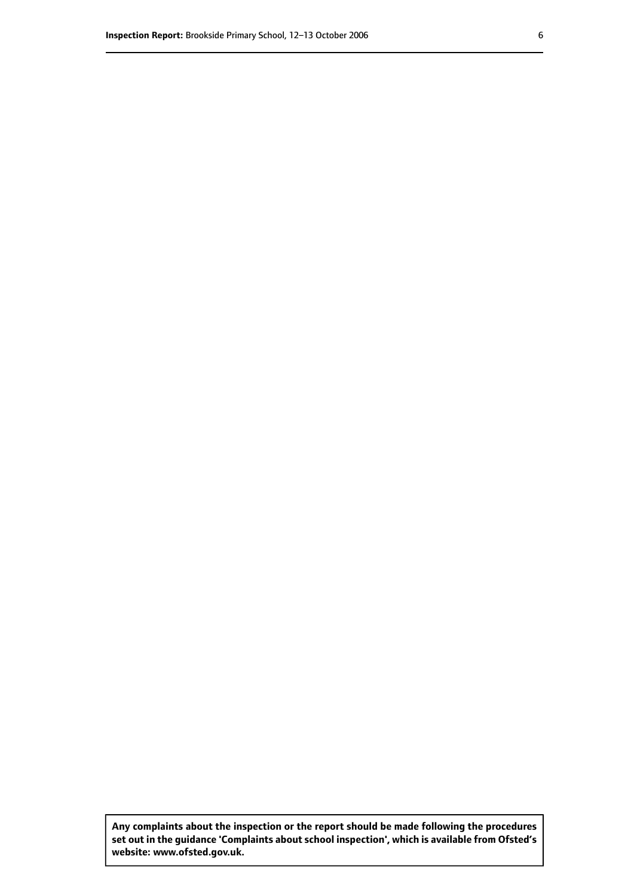**Any complaints about the inspection or the report should be made following the procedures set out inthe guidance 'Complaints about school inspection', whichis available from Ofsted's website: www.ofsted.gov.uk.**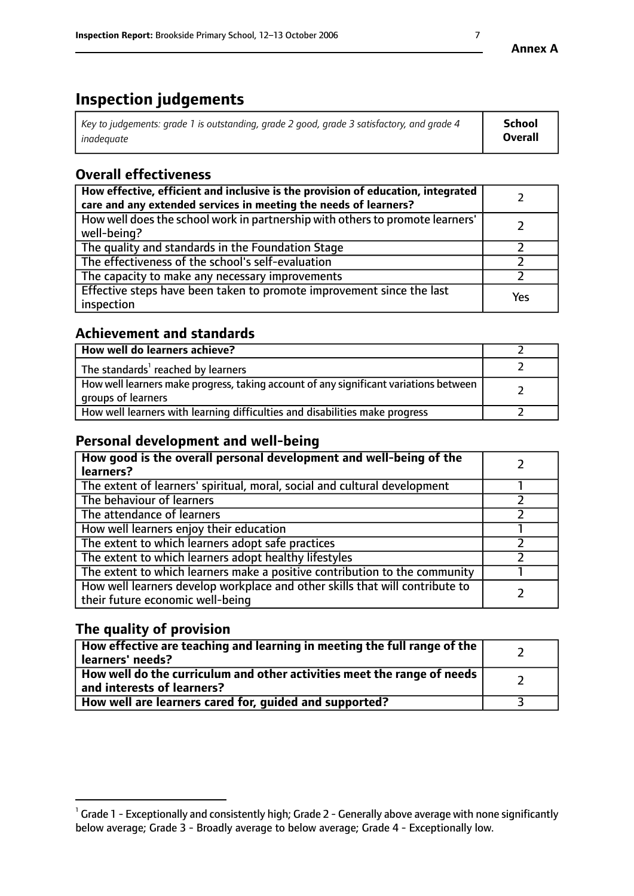# **Inspection judgements**

| Key to judgements: grade 1 is outstanding, grade 2 good, grade 3 satisfactory, and grade 4 | School         |
|--------------------------------------------------------------------------------------------|----------------|
| inadeauate                                                                                 | <b>Overall</b> |

# **Overall effectiveness**

| How effective, efficient and inclusive is the provision of education, integrated<br>care and any extended services in meeting the needs of learners? |     |
|------------------------------------------------------------------------------------------------------------------------------------------------------|-----|
| How well does the school work in partnership with others to promote learners'<br>well-being?                                                         |     |
| The quality and standards in the Foundation Stage                                                                                                    |     |
| The effectiveness of the school's self-evaluation                                                                                                    |     |
| The capacity to make any necessary improvements                                                                                                      |     |
| Effective steps have been taken to promote improvement since the last<br>inspection                                                                  | Yes |

## **Achievement and standards**

| How well do learners achieve?                                                                               |  |
|-------------------------------------------------------------------------------------------------------------|--|
| The standards <sup>1</sup> reached by learners                                                              |  |
| How well learners make progress, taking account of any significant variations between<br>groups of learners |  |
| How well learners with learning difficulties and disabilities make progress                                 |  |

# **Personal development and well-being**

| How good is the overall personal development and well-being of the<br>learners?                                  |  |
|------------------------------------------------------------------------------------------------------------------|--|
| The extent of learners' spiritual, moral, social and cultural development                                        |  |
| The behaviour of learners                                                                                        |  |
| The attendance of learners                                                                                       |  |
| How well learners enjoy their education                                                                          |  |
| The extent to which learners adopt safe practices                                                                |  |
| The extent to which learners adopt healthy lifestyles                                                            |  |
| The extent to which learners make a positive contribution to the community                                       |  |
| How well learners develop workplace and other skills that will contribute to<br>their future economic well-being |  |

# **The quality of provision**

| How effective are teaching and learning in meeting the full range of the<br>learners' needs?          |  |
|-------------------------------------------------------------------------------------------------------|--|
| How well do the curriculum and other activities meet the range of needs<br>and interests of learners? |  |
| How well are learners cared for, guided and supported?                                                |  |

 $^1$  Grade 1 - Exceptionally and consistently high; Grade 2 - Generally above average with none significantly below average; Grade 3 - Broadly average to below average; Grade 4 - Exceptionally low.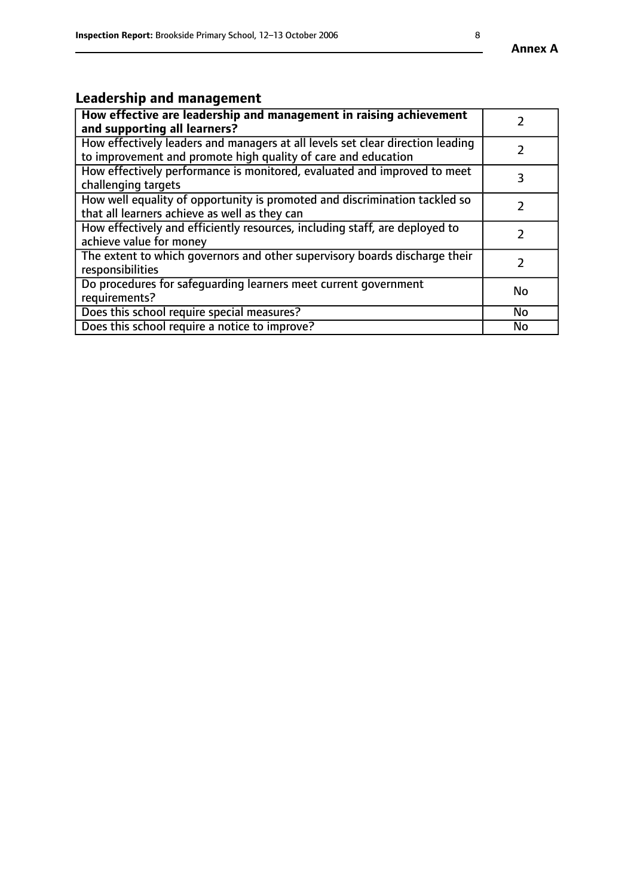#### **Annex A**

# **Leadership and management**

| How effective are leadership and management in raising achievement<br>and supporting all learners?                                              |               |
|-------------------------------------------------------------------------------------------------------------------------------------------------|---------------|
| How effectively leaders and managers at all levels set clear direction leading<br>to improvement and promote high quality of care and education |               |
| How effectively performance is monitored, evaluated and improved to meet<br>challenging targets                                                 | 3             |
| How well equality of opportunity is promoted and discrimination tackled so<br>that all learners achieve as well as they can                     |               |
| How effectively and efficiently resources, including staff, are deployed to<br>achieve value for money                                          | $\mathcal{P}$ |
| The extent to which governors and other supervisory boards discharge their<br>responsibilities                                                  |               |
| Do procedures for safequarding learners meet current government<br>requirements?                                                                | <b>No</b>     |
| Does this school require special measures?                                                                                                      | <b>No</b>     |
| Does this school require a notice to improve?                                                                                                   | No            |